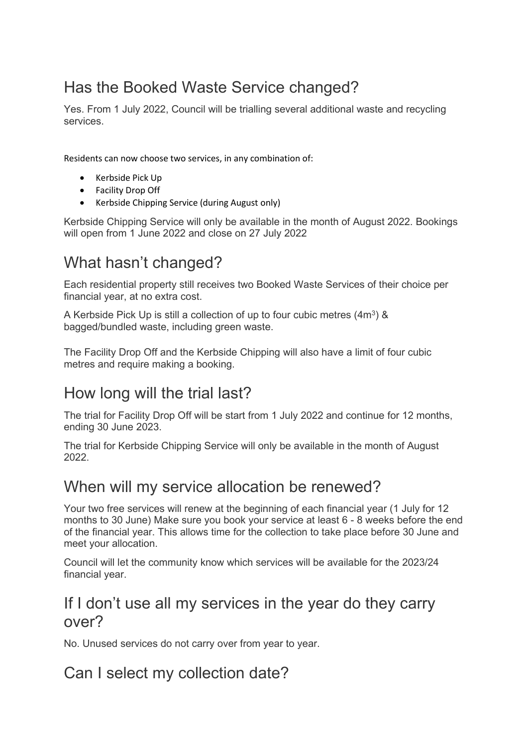# Has the Booked Waste Service changed?

Yes. From 1 July 2022, Council will be trialling several additional waste and recycling services.

Residents can now choose two services, in any combination of:

- Kerbside Pick Up
- Facility Drop Off
- Kerbside Chipping Service (during August only)

Kerbside Chipping Service will only be available in the month of August 2022. Bookings will open from 1 June 2022 and close on 27 July 2022

# What hasn't changed?

Each residential property still receives two Booked Waste Services of their choice per financial year, at no extra cost.

A Kerbside Pick Up is still a collection of up to four cubic metres (4m3) & bagged/bundled waste, including green waste.

The Facility Drop Off and the Kerbside Chipping will also have a limit of four cubic metres and require making a booking.

## How long will the trial last?

The trial for Facility Drop Off will be start from 1 July 2022 and continue for 12 months, ending 30 June 2023.

The trial for Kerbside Chipping Service will only be available in the month of August 2022.

## When will my service allocation be renewed?

Your two free services will renew at the beginning of each financial year (1 July for 12 months to 30 June) Make sure you book your service at least 6 - 8 weeks before the end of the financial year. This allows time for the collection to take place before 30 June and meet your allocation.

Council will let the community know which services will be available for the 2023/24 financial year.

## If I don't use all my services in the year do they carry over?

No. Unused services do not carry over from year to year.

## Can I select my collection date?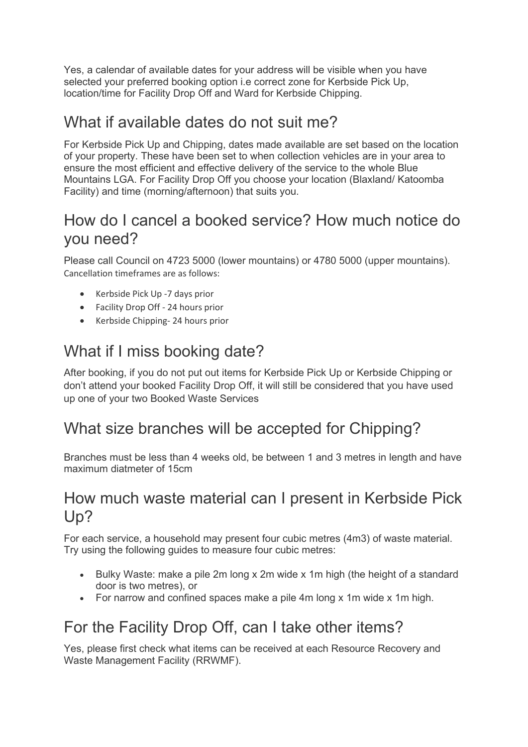Yes, a calendar of available dates for your address will be visible when you have selected your preferred booking option i.e correct zone for Kerbside Pick Up, location/time for Facility Drop Off and Ward for Kerbside Chipping.

## What if available dates do not suit me?

For Kerbside Pick Up and Chipping, dates made available are set based on the location of your property. These have been set to when collection vehicles are in your area to ensure the most efficient and effective delivery of the service to the whole Blue Mountains LGA. For Facility Drop Off you choose your location (Blaxland/ Katoomba Facility) and time (morning/afternoon) that suits you.

## How do I cancel a booked service? How much notice do you need?

Please call Council on 4723 5000 (lower mountains) or 4780 5000 (upper mountains). Cancellation timeframes are as follows:

- Kerbside Pick Up -7 days prior
- Facility Drop Off 24 hours prior
- Kerbside Chipping- 24 hours prior

## What if I miss booking date?

After booking, if you do not put out items for Kerbside Pick Up or Kerbside Chipping or don't attend your booked Facility Drop Off, it will still be considered that you have used up one of your two Booked Waste Services

## What size branches will be accepted for Chipping?

Branches must be less than 4 weeks old, be between 1 and 3 metres in length and have maximum diatmeter of 15cm

#### How much waste material can I present in Kerbside Pick Up?

For each service, a household may present four cubic metres (4m3) of waste material. Try using the following guides to measure four cubic metres:

- Bulky Waste: make a pile 2m long x 2m wide x 1m high (the height of a standard door is two metres), or
- For narrow and confined spaces make a pile 4m long x 1m wide x 1m high.

## For the Facility Drop Off, can I take other items?

Yes, please first check what items can be received at each Resource Recovery and Waste Management Facility (RRWMF).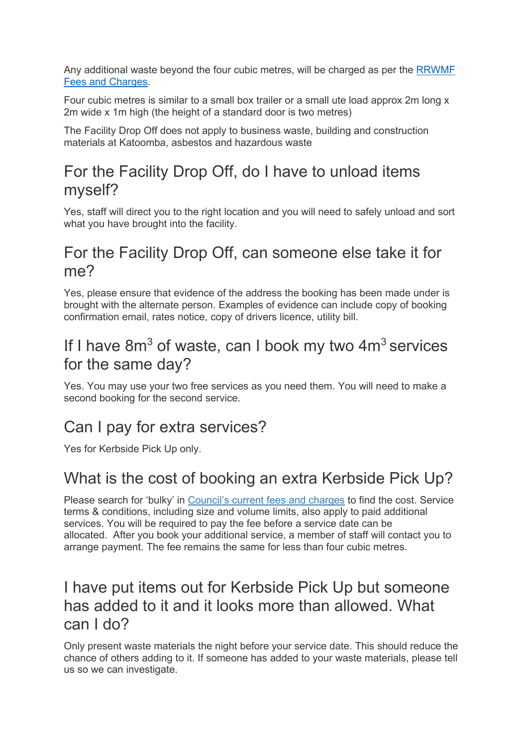Any additional waste beyond the four cubic metres, will be charged as per the [RRWMF](https://www.bmcc.nsw.gov.au/sites/default/files/docs/Updated%20RRWMF%20Fees%20and%20Charges_2021-22.pdf)  [Fees and Charges.](https://www.bmcc.nsw.gov.au/sites/default/files/docs/Updated%20RRWMF%20Fees%20and%20Charges_2021-22.pdf)

Four cubic metres is similar to a small box trailer or a small ute load approx 2m long x 2m wide x 1m high (the height of a standard door is two metres)

The Facility Drop Off does not apply to business waste, building and construction materials at Katoomba, asbestos and hazardous waste

## For the Facility Drop Off, do I have to unload items myself?

Yes, staff will direct you to the right location and you will need to safely unload and sort what you have brought into the facility.

#### For the Facility Drop Off, can someone else take it for me?

Yes, please ensure that evidence of the address the booking has been made under is brought with the alternate person. Examples of evidence can include copy of booking confirmation email, rates notice, copy of drivers licence, utility bill.

## If I have  $8m<sup>3</sup>$  of waste, can I book my two  $4m<sup>3</sup>$  services for the same day?

Yes. You may use your two free services as you need them. You will need to make a second booking for the second service.

## Can I pay for extra services?

Yes for Kerbside Pick Up only.

## What is the cost of booking an extra Kerbside Pick Up?

Please search for 'bulky' in [Council's current fees and charges](https://www.bmcc.nsw.gov.au/booked-waste-services/documents/fees-charges-2021-2022) to find the cost. Service terms & conditions, including size and volume limits, also apply to paid additional services. You will be required to pay the fee before a service date can be allocated. After you book your additional service, a member of staff will contact you to arrange payment. The fee remains the same for less than four cubic metres.

## I have put items out for Kerbside Pick Up but someone has added to it and it looks more than allowed. What can I do?

Only present waste materials the night before your service date. This should reduce the chance of others adding to it. If someone has added to your waste materials, please tell us so we can investigate.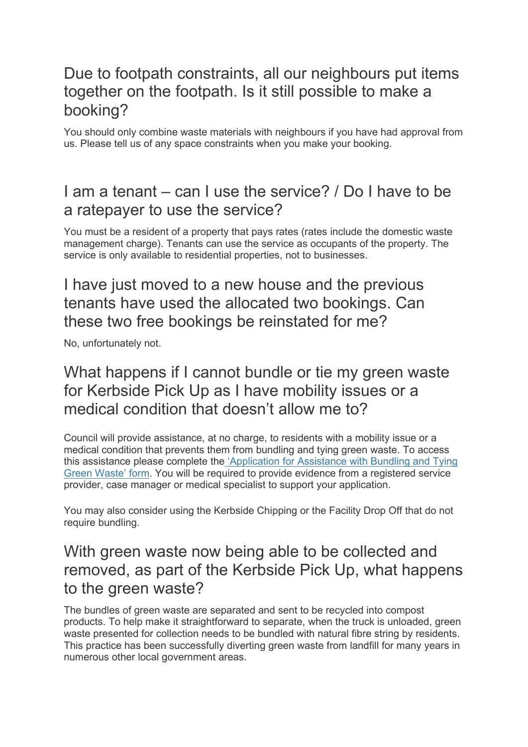## Due to footpath constraints, all our neighbours put items together on the footpath. Is it still possible to make a booking?

You should only combine waste materials with neighbours if you have had approval from us. Please tell us of any space constraints when you make your booking.

## I am a tenant – can I use the service? / Do I have to be a ratepayer to use the service?

You must be a resident of a property that pays rates (rates include the domestic waste management charge). Tenants can use the service as occupants of the property. The service is only available to residential properties, not to businesses.

## I have just moved to a new house and the previous tenants have used the allocated two bookings. Can these two free bookings be reinstated for me?

No, unfortunately not.

#### What happens if I cannot bundle or tie my green waste for Kerbside Pick Up as I have mobility issues or a medical condition that doesn't allow me to?

Council will provide assistance, at no charge, to residents with a mobility issue or a medical condition that prevents them from bundling and tying green waste. To access this assistance please complete the ['Application for Assistance with Bundling and Tying](https://www.bmcc.nsw.gov.au/documents/application-for-assistance-bundling-and-tying-green-waste)  [Green Waste' form.](https://www.bmcc.nsw.gov.au/documents/application-for-assistance-bundling-and-tying-green-waste) You will be required to provide evidence from a registered service provider, case manager or medical specialist to support your application.

You may also consider using the Kerbside Chipping or the Facility Drop Off that do not require bundling.

## With green waste now being able to be collected and removed, as part of the Kerbside Pick Up, what happens to the green waste?

The bundles of green waste are separated and sent to be recycled into compost products. To help make it straightforward to separate, when the truck is unloaded, green waste presented for collection needs to be bundled with natural fibre string by residents. This practice has been successfully diverting green waste from landfill for many years in numerous other local government areas.